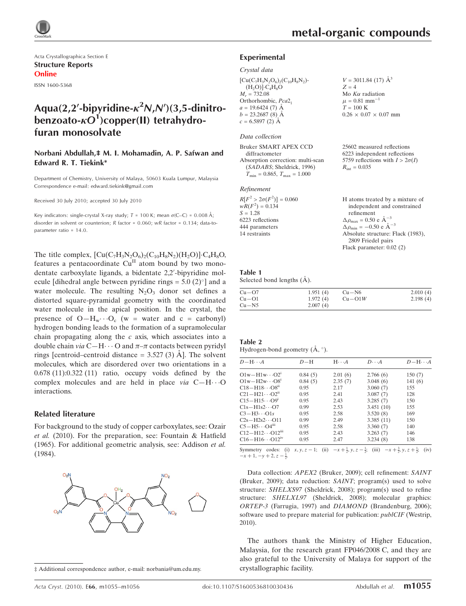

Acta Crystallographica Section E Structure Reports Online ISSN 1600-5368

## Aqua(2,2'-bipyridine- $\kappa^2$ N,N')(3,5-dinitrobenzoato- $\kappa O^1$ )copper(II) tetrahydrofuran monosolvate

#### Norbani Abdullah,‡ M. I. Mohamadin, A. P. Safwan and Edward R. T. Tiekink\*

Department of Chemistry, University of Malaya, 50603 Kuala Lumpur, Malaysia Correspondence e-mail: edward.tiekink@gmail.com

Received 30 July 2010; accepted 30 July 2010

Key indicators: single-crystal X-ray study;  $T = 100$  K; mean  $\sigma$ (C–C) = 0.008 Å; disorder in solvent or counterion:  $R$  factor = 0.060;  $wR$  factor = 0.134; data-toparameter ratio = 14.0.

The title complex,  $[Cu(C_7H_3N_2O_6)_2(C_{10}H_8N_2)(H_2O)] \cdot C_4H_8O$ , features a pentacoordinate  $Cu<sup>H</sup>$  atom bound by two monodentate carboxylate ligands, a bidentate 2,2'-bipyridine molecule [dihedral angle between pyridine rings =  $5.0$  (2)<sup>o</sup>] and a water molecule. The resulting  $N_2O_3$  donor set defines a distorted square-pyramidal geometry with the coordinated water molecule in the apical position. In the crystal, the presence of  $O-H_w \cdots O_c$  (w = water and c = carbonyl) hydrogen bonding leads to the formation of a supramolecular chain propagating along the c axis, which associates into a double chain via C-H $\cdots$ O and  $\pi$ - $\pi$  contacts between pyridyl rings [centroid–centroid distance  $=$  3.527 (3)  $\AA$ ]. The solvent molecules, which are disordered over two orientations in a 0.678 (11):0.322 (11) ratio, occupy voids defined by the complex molecules and are held in place  $via$   $C-H\cdots O$ interactions.

#### Related literature

For background to the study of copper carboxylates, see: Ozair et al. (2010). For the preparation, see: Fountain & Hatfield (1965). For additional geometric analysis, see: Addison et al. (1984).



<sup>‡</sup> Additional correspondence author, e-mail: norbania@um.edu.my.

 $V = 3011.84$  (17)  $\AA^3$ 

 $0.26 \times 0.07 \times 0.07$  mm

25602 measured reflections 6223 independent reflections 5759 reflections with  $I > 2\sigma(I)$ 

Mo  $K\alpha$  radiation  $\mu = 0.81$  mm<sup>-1</sup>  $T = 100 \text{ K}$ 

 $R_{\text{int}} = 0.035$ 

 $Z = 4$ 

#### Experimental

#### Crystal data

 $[Cu(C_7H_3N_2O_6)_2(C_{10}H_8N_2)]$  $(H_2O)]$ · $C_4H_8O$  $M_r = 732.08$ Orthorhombic, Pca2<sub>1</sub>  $a = 19.6424(7)$  Å  $b = 23.2687(8)$  Å  $c = 6.5897(2)$  Å

#### Data collection

Bruker SMART APEX CCD diffractometer Absorption correction: multi-scan (SADABS; Sheldrick, 1996)  $T_{\text{min}} = 0.865, T_{\text{max}} = 1.000$ 

#### Refinement

| $R[F^2 > 2\sigma(F^2)] = 0.060$ | H atoms treated by a mixture of                      |
|---------------------------------|------------------------------------------------------|
| $wR(F^2) = 0.134$               | independent and constrained                          |
| $S = 1.28$                      | refinement                                           |
| 6223 reflections                | $\Delta \rho_{\text{max}} = 0.50 \text{ e A}^{-3}$   |
| 444 parameters                  | $\Delta \rho_{\text{min}} = -0.50$ e $\rm{\AA}^{-3}$ |
| 14 restraints                   | Absolute structure: Flack (1983),                    |
|                                 | 2809 Friedel pairs                                   |
|                                 | Flack parameter: $0.02$ (2)                          |

#### Table 1

Selected bond lengths  $(\AA)$ .

| $Cu - O7$ | 1.951(4) | $Cu - N6$ | 2.010(4) |
|-----------|----------|-----------|----------|
| $Cu - O1$ | 1.972(4) | $Cu-O1W$  | 2.198(4) |
| $Cu - N5$ | 2.007(4) |           |          |

#### Table 2

Hydrogen-bond geometry  $(\AA, \degree)$ .

| $D$ -H $\cdots$ A                                                                                                                                                                                                                                           | $D-H$   | $H \cdot \cdot \cdot A$ | $D\cdots A$ | $D - H \cdots A$ |
|-------------------------------------------------------------------------------------------------------------------------------------------------------------------------------------------------------------------------------------------------------------|---------|-------------------------|-------------|------------------|
| $O1w-H1w\cdots O2^{1}$                                                                                                                                                                                                                                      | 0.84(5) | 2.01(6)                 | 2.766(6)    | 150(7)           |
| $O1w - H2w \cdots O8i$                                                                                                                                                                                                                                      | 0.84(5) | 2.35(7)                 | 3.048(6)    | 141(6)           |
| $C18 - H18 \cdots O8^{n}$                                                                                                                                                                                                                                   | 0.95    | 2.17                    | 3.060(7)    | 155              |
| $C21 - H21 \cdots O2^{n}$                                                                                                                                                                                                                                   | 0.95    | 2.41                    | 3.087(7)    | 128              |
| $C15 - H15 \cdots O9^1$                                                                                                                                                                                                                                     | 0.95    | 2.43                    | 3.285(7)    | 150              |
| $C1s-H1s2\cdots O7$                                                                                                                                                                                                                                         | 0.99    | 2.53                    | 3.451(10)   | 155              |
| $C3-H3\cdots O1s$                                                                                                                                                                                                                                           | 0.95    | 2.58                    | 3.520(8)    | 169              |
| $C2s - H2s2 \cdots 011$                                                                                                                                                                                                                                     | 0.99    | 2.49                    | 3.385(11)   | 150              |
| $C5-H5\cdots O4m$                                                                                                                                                                                                                                           | 0.95    | 2.58                    | 3.360(7)    | 140              |
| $C12 - H12 \cdots O12m$                                                                                                                                                                                                                                     | 0.95    | 2.43                    | 3.263(7)    | 146              |
| $C16 - H16 \cdots O12^{IV}$                                                                                                                                                                                                                                 | 0.95    | 2.47                    | 3.234(8)    | 138              |
| $C_{1}$ $C_{2}$ $C_{3}$ $C_{4}$ $C_{5}$ $C_{6}$ $C_{7}$ $C_{8}$ $C_{9}$ $C_{10}$ $C_{11}$ $C_{12}$ $C_{13}$ $C_{14}$ $C_{15}$ $C_{16}$ $C_{17}$ $C_{18}$ $C_{19}$ $C_{10}$ $C_{11}$ $C_{12}$ $C_{13}$ $C_{14}$ $C_{15}$ $C_{16}$ $C_{17}$ $C_{18}$ $C_{19}$ |         |                         |             |                  |

Symmetry codes: (i)  $x, y, z - 1$ ; (ii)  $-x + \frac{1}{2}, y, z - \frac{1}{2}$ ; (iii)  $-x + \frac{3}{2}, y, z + \frac{1}{2}$ ; (iv)  $-x+1, -y+2, z-\frac{1}{2}$ 

Data collection: APEX2 (Bruker, 2009); cell refinement: SAINT (Bruker, 2009); data reduction: SAINT; program(s) used to solve structure: SHELXS97 (Sheldrick, 2008); program(s) used to refine structure: SHELXL97 (Sheldrick, 2008); molecular graphics: ORTEP-3 (Farrugia, 1997) and DIAMOND (Brandenburg, 2006); software used to prepare material for publication: *publCIF* (Westrip, 2010).

The authors thank the Ministry of Higher Education, Malaysia, for the research grant FP046/2008 C, and they are also grateful to the University of Malaya for support of the crystallographic facility.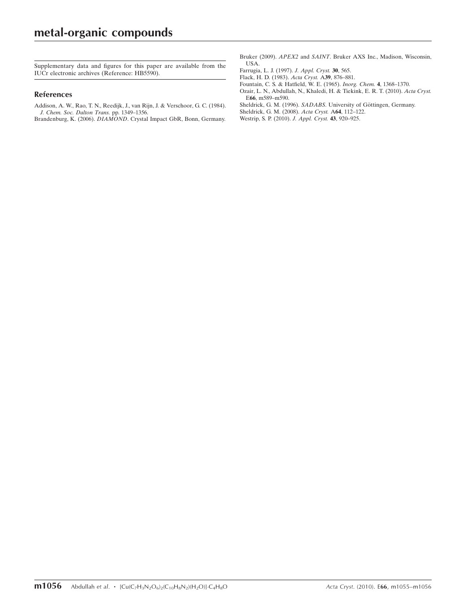Supplementary data and figures for this paper are available from the IUCr electronic archives (Reference: HB5590).

#### References

[Addison, A. W., Rao, T. N., Reedijk, J., van Rijn, J. & Verschoor, G. C. \(1984\).](https://scripts.iucr.org/cgi-bin/cr.cgi?rm=pdfbb&cnor=hb5590&bbid=BB1) [J. Chem. Soc. Dalton Trans.](https://scripts.iucr.org/cgi-bin/cr.cgi?rm=pdfbb&cnor=hb5590&bbid=BB1) pp. 1349–1356.

Brandenburg, K. (2006). DIAMOND[. Crystal Impact GbR, Bonn, Germany.](https://scripts.iucr.org/cgi-bin/cr.cgi?rm=pdfbb&cnor=hb5590&bbid=BB2)

- Bruker (2009). APEX2 and SAINT[. Bruker AXS Inc., Madison, Wisconsin,](https://scripts.iucr.org/cgi-bin/cr.cgi?rm=pdfbb&cnor=hb5590&bbid=BB3) [USA.](https://scripts.iucr.org/cgi-bin/cr.cgi?rm=pdfbb&cnor=hb5590&bbid=BB3)
- [Farrugia, L. J. \(1997\).](https://scripts.iucr.org/cgi-bin/cr.cgi?rm=pdfbb&cnor=hb5590&bbid=BB4) J. Appl. Cryst. 30, 565.
- [Flack, H. D. \(1983\).](https://scripts.iucr.org/cgi-bin/cr.cgi?rm=pdfbb&cnor=hb5590&bbid=BB5) Acta Cryst. A39, 876–881.
- [Fountain, C. S. & Hatfield, W. E. \(1965\).](https://scripts.iucr.org/cgi-bin/cr.cgi?rm=pdfbb&cnor=hb5590&bbid=BB6) Inorg. Chem. 4, 1368–1370.
- [Ozair, L. N., Abdullah, N., Khaledi, H. & Tiekink, E. R. T. \(2010\).](https://scripts.iucr.org/cgi-bin/cr.cgi?rm=pdfbb&cnor=hb5590&bbid=BB7) Acta Cryst. E66[, m589–m590.](https://scripts.iucr.org/cgi-bin/cr.cgi?rm=pdfbb&cnor=hb5590&bbid=BB7)
- Sheldrick, G. M. (1996). SADABS. University of Göttingen, Germany.
- [Sheldrick, G. M. \(2008\).](https://scripts.iucr.org/cgi-bin/cr.cgi?rm=pdfbb&cnor=hb5590&bbid=BB9) Acta Cryst. A64, 112–122.
- [Westrip, S. P. \(2010\).](https://scripts.iucr.org/cgi-bin/cr.cgi?rm=pdfbb&cnor=hb5590&bbid=BB10) J. Appl. Cryst. 43, 920–925.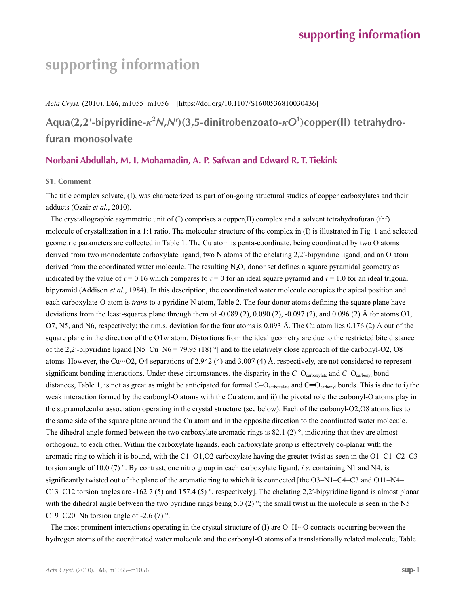# **supporting information**

*Acta Cryst.* (2010). E**66**, m1055–m1056 [https://doi.org/10.1107/S1600536810030436]

**Aqua(2,2′-bipyridine-***κ***<sup>2</sup>** *N***,***N***′)(3,5-dinitrobenzoato-***κO***<sup>1</sup> )copper(II) tetrahydrofuran monosolvate**

### **Norbani Abdullah, M. I. Mohamadin, A. P. Safwan and Edward R. T. Tiekink**

#### **S1. Comment**

The title complex solvate, (I), was characterized as part of on-going structural studies of copper carboxylates and their adducts (Ozair *et al.*, 2010).

The crystallographic asymmetric unit of (I) comprises a copper(II) complex and a solvent tetrahydrofuran (thf) molecule of crystallization in a 1:1 ratio. The molecular structure of the complex in (I) is illustrated in Fig. 1 and selected geometric parameters are collected in Table 1. The Cu atom is penta-coordinate, being coordinated by two O atoms derived from two monodentate carboxylate ligand, two N atoms of the chelating 2,2′-bipyridine ligand, and an O atom derived from the coordinated water molecule. The resulting  $N_2O_3$  donor set defines a square pyramidal geometry as indicated by the value of  $\tau = 0.16$  which compares to  $\tau = 0$  for an ideal square pyramid and  $\tau = 1.0$  for an ideal trigonal bipyramid (Addison *et al.*, 1984). In this description, the coordinated water molecule occupies the apical position and each carboxylate-O atom is *trans* to a pyridine-N atom, Table 2. The four donor atoms defining the square plane have deviations from the least-squares plane through them of  $-0.089$  (2),  $0.090$  (2),  $-0.097$  (2), and  $0.096$  (2) Å for atoms O1, O7, N5, and N6, respectively; the r.m.s. deviation for the four atoms is 0.093 Å. The Cu atom lies  $0.176$  (2) Å out of the square plane in the direction of the O1w atom. Distortions from the ideal geometry are due to the restricted bite distance of the 2,2′-bipyridine ligand [N5–Cu–N6 = 79.95 (18) °] and to the relatively close approach of the carbonyl-O2, O8 atoms. However, the Cu···O2, O4 separations of 2.942 (4) and 3.007 (4) Å, respectively, are not considered to represent significant bonding interactions. Under these circumstances, the disparity in the *C*–O<sub>carboxylate</sub> and *C*–O<sub>carbonyl</sub> bond distances, Table 1, is not as great as might be anticipated for formal *C*–O<sub>carboxylate</sub> and C=O<sub>carbonyl</sub> bonds. This is due to i) the weak interaction formed by the carbonyl-O atoms with the Cu atom, and ii) the pivotal role the carbonyl-O atoms play in the supramolecular association operating in the crystal structure (see below). Each of the carbonyl-O2,O8 atoms lies to the same side of the square plane around the Cu atom and in the opposite direction to the coordinated water molecule. The dihedral angle formed between the two carboxylate aromatic rings is 82.1 (2) $\degree$ , indicating that they are almost orthogonal to each other. Within the carboxylate ligands, each carboxylate group is effectively co-planar with the aromatic ring to which it is bound, with the C1–O1,O2 carboxylate having the greater twist as seen in the O1–C1–C2–C3 torsion angle of 10.0 (7) °. By contrast, one nitro group in each carboxylate ligand, *i.e*. containing N1 and N4, is significantly twisted out of the plane of the aromatic ring to which it is connected [the O3–N1–C4–C3 and O11–N4– C13–C12 torsion angles are -162.7 (5) and 157.4 (5) °, respectively]. The chelating 2,2′-bipyridine ligand is almost planar with the dihedral angle between the two pyridine rings being 5.0 (2)  $\degree$ ; the small twist in the molecule is seen in the N5– C19–C20–N6 torsion angle of -2.6 (7)  $^{\circ}$ .

The most prominent interactions operating in the crystal structure of  $(I)$  are O–H $\cdots$ O contacts occurring between the hydrogen atoms of the coordinated water molecule and the carbonyl-O atoms of a translationally related molecule; Table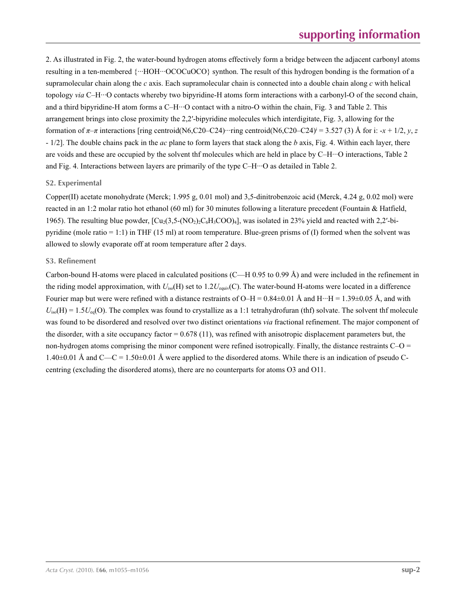2. As illustrated in Fig. 2, the water-bound hydrogen atoms effectively form a bridge between the adjacent carbonyl atoms resulting in a ten-membered {···HOH···OCOCuOCO} synthon. The result of this hydrogen bonding is the formation of a supramolecular chain along the *c* axis. Each supramolecular chain is connected into a double chain along *c* with helical topology *via* C–H···O contacts whereby two bipyridine-H atoms form interactions with a carbonyl-O of the second chain, and a third bipyridine-H atom forms a C–H···O contact with a nitro-O within the chain, Fig. 3 and Table 2. This arrangement brings into close proximity the 2,2′-bipyridine molecules which interdigitate, Fig. 3, allowing for the formation of  $\pi-\pi$  interactions [ring centroid(N6,C20–C24)···ring centroid(N6,C20–C24)<sup>i</sup> = 3.527 (3) Å for i: -*x* + 1/2, *y*, *z* - 1/2]. The double chains pack in the *ac* plane to form layers that stack along the *b* axis, Fig. 4. Within each layer, there are voids and these are occupied by the solvent thf molecules which are held in place by C–H···O interactions, Table 2 and Fig. 4. Interactions between layers are primarily of the type C–H···O as detailed in Table 2.

#### **S2. Experimental**

Copper(II) acetate monohydrate (Merck; 1.995 g, 0.01 mol) and 3,5-dinitrobenzoic acid (Merck, 4.24 g, 0.02 mol) were reacted in an 1:2 molar ratio hot ethanol (60 ml) for 30 minutes following a literature precedent (Fountain & Hatfield, 1965). The resulting blue powder,  $\left[\text{Cu}_2(3,5-(NO_2)\text{C}_6H_3COO)_4\right]$ , was isolated in 23% yield and reacted with 2,2'-bipyridine (mole ratio = 1:1) in THF (15 ml) at room temperature. Blue-green prisms of (I) formed when the solvent was allowed to slowly evaporate off at room temperature after 2 days.

#### **S3. Refinement**

Carbon-bound H-atoms were placed in calculated positions (C—H 0.95 to 0.99 Å) and were included in the refinement in the riding model approximation, with *U*iso(H) set to 1.2*U*equiv(C). The water-bound H-atoms were located in a difference Fourier map but were were refined with a distance restraints of O–H =  $0.84\pm0.01$  Å and H···H =  $1.39\pm0.05$  Å, and with  $U_{\text{iso}}(H) = 1.5U_{\text{eq}}(O)$ . The complex was found to crystallize as a 1:1 tetrahydrofuran (thf) solvate. The solvent thf molecule was found to be disordered and resolved over two distinct orientations *via* fractional refinement. The major component of the disorder, with a site occupancy factor  $= 0.678(11)$ , was refined with anisotropic displacement parameters but, the non-hydrogen atoms comprising the minor component were refined isotropically. Finally, the distance restraints  $C-O =$  $1.40\pm0.01$  Å and C—C =  $1.50\pm0.01$  Å were applied to the disordered atoms. While there is an indication of pseudo Ccentring (excluding the disordered atoms), there are no counterparts for atoms O3 and O11.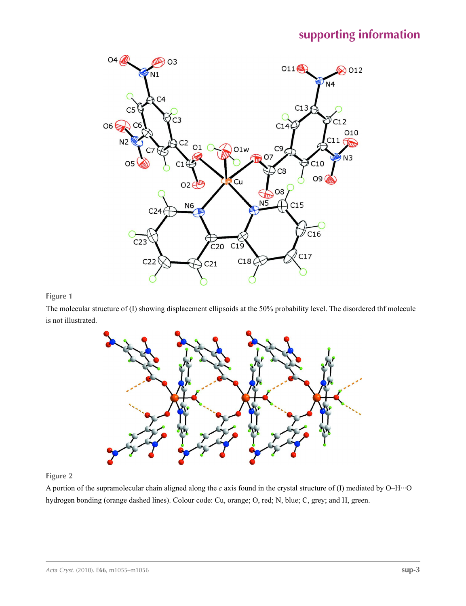

**Figure 1**

The molecular structure of (I) showing displacement ellipsoids at the 50% probability level. The disordered thf molecule is not illustrated.



#### **Figure 2**

A portion of the supramolecular chain aligned along the *c* axis found in the crystal structure of (I) mediated by O–H···O hydrogen bonding (orange dashed lines). Colour code: Cu, orange; O, red; N, blue; C, grey; and H, green.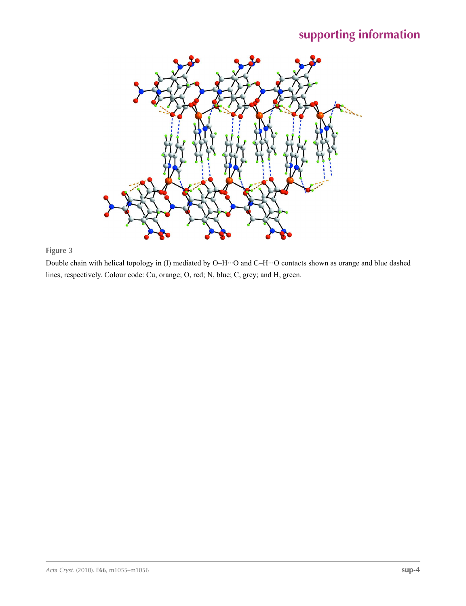

### **Figure 3**

Double chain with helical topology in (I) mediated by O–H···O and C–H···O contacts shown as orange and blue dashed lines, respectively. Colour code: Cu, orange; O, red; N, blue; C, grey; and H, green.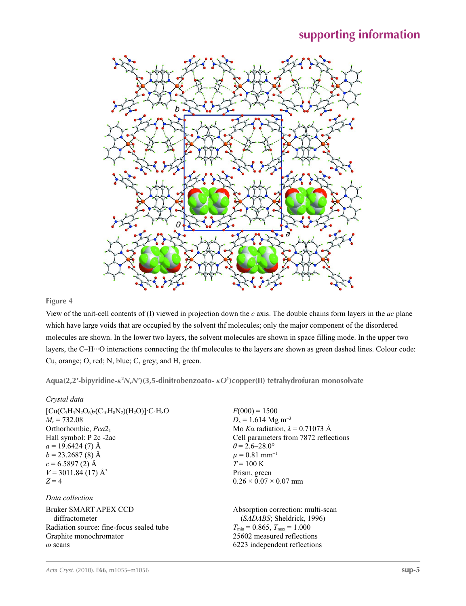

#### **Figure 4**

View of the unit-cell contents of (I) viewed in projection down the *c* axis. The double chains form layers in the *ac* plane which have large voids that are occupied by the solvent thf molecules; only the major component of the disordered molecules are shown. In the lower two layers, the solvent molecules are shown in space filling mode. In the upper two layers, the C–H···O interactions connecting the thf molecules to the layers are shown as green dashed lines. Colour code: Cu, orange; O, red; N, blue; C, grey; and H, green.

**Aqua(2,2′-bipyridine-***κ***<sup>2</sup>** *N***,***N***′)(3,5-dinitrobenzoato-** *κO***<sup>1</sup> )copper(II) tetrahydrofuran monosolvate** 

#### *Crystal data*

| $[Cu(C_7H_3N_2O_6)_2(C_{10}H_8N_2)(H_2O)]$ <sup>-</sup> C <sub>4</sub> H <sub>8</sub> O<br>$M_r = 732.08$<br>Orthorhombic, Pca2 <sub>1</sub><br>Hall symbol: P 2c -2ac<br>$a = 19.6424(7)$ Å<br>$b = 23.2687(8)$ Å<br>$c = 6.5897(2)$ Å<br>$V = 3011.84(17)$ Å <sup>3</sup><br>$Z=4$ | $F(000) = 1500$<br>$D_x = 1.614$ Mg m <sup>-3</sup><br>Mo Ka radiation, $\lambda = 0.71073$ Å<br>Cell parameters from 7872 reflections<br>$\theta = 2.6 - 28.0^{\circ}$<br>$\mu = 0.81$ mm <sup>-1</sup><br>$T = 100 \text{ K}$<br>Prism, green<br>$0.26 \times 0.07 \times 0.07$ mm |
|--------------------------------------------------------------------------------------------------------------------------------------------------------------------------------------------------------------------------------------------------------------------------------------|--------------------------------------------------------------------------------------------------------------------------------------------------------------------------------------------------------------------------------------------------------------------------------------|
| Data collection                                                                                                                                                                                                                                                                      |                                                                                                                                                                                                                                                                                      |
| <b>Bruker SMART APEX CCD</b><br>diffractometer<br>Radiation source: fine-focus sealed tube<br>Graphite monochromator<br>$\omega$ scans                                                                                                                                               | Absorption correction: multi-scan<br>(SADABS; Sheldrick, 1996)<br>$T_{\min}$ = 0.865, $T_{\max}$ = 1.000<br>25602 measured reflections<br>6223 independent reflections                                                                                                               |
|                                                                                                                                                                                                                                                                                      |                                                                                                                                                                                                                                                                                      |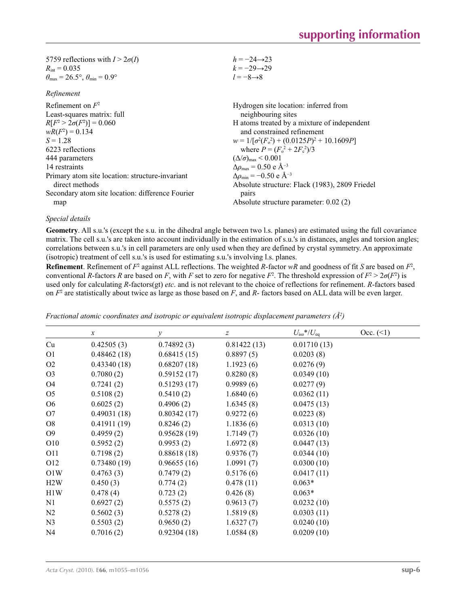| 5759 reflections with $I > 2\sigma(I)$                                  | $h = -24 \rightarrow 23$                                  |
|-------------------------------------------------------------------------|-----------------------------------------------------------|
| $R_{\text{int}} = 0.035$                                                | $k = -29 \rightarrow 29$                                  |
| $\theta_{\text{max}} = 26.5^{\circ}, \theta_{\text{min}} = 0.9^{\circ}$ | $l = -8 \rightarrow 8$                                    |
| Refinement                                                              |                                                           |
| Refinement on $F^2$                                                     | Hydrogen site location: inferred from                     |
| Least-squares matrix: full                                              | neighbouring sites                                        |
| $R[F^2 > 2\sigma(F^2)] = 0.060$                                         | H atoms treated by a mixture of independent               |
| $wR(F^2) = 0.134$                                                       | and constrained refinement                                |
| $S = 1.28$                                                              | $w = 1/[\sigma^2(F_0^2) + (0.0125P)^2 + 10.1609P]$        |
| 6223 reflections                                                        | where $P = (F_0^2 + 2F_c^2)/3$                            |
| 444 parameters                                                          | $(\Delta/\sigma)_{\rm max}$ < 0.001                       |
| 14 restraints                                                           | $\Delta\rho_{\text{max}}$ = 0.50 e Å <sup>-3</sup>        |
| Primary atom site location: structure-invariant                         | $\Delta\rho_{\rm min} = -0.50 \text{ e } \text{\AA}^{-3}$ |
| direct methods                                                          | Absolute structure: Flack (1983), 2809 Friedel            |
| Secondary atom site location: difference Fourier                        | pairs                                                     |
| map                                                                     | Absolute structure parameter: 0.02 (2)                    |
|                                                                         |                                                           |

#### *Special details*

**Geometry**. All s.u.'s (except the s.u. in the dihedral angle between two l.s. planes) are estimated using the full covariance matrix. The cell s.u.'s are taken into account individually in the estimation of s.u.'s in distances, angles and torsion angles; correlations between s.u.'s in cell parameters are only used when they are defined by crystal symmetry. An approximate (isotropic) treatment of cell s.u.'s is used for estimating s.u.'s involving l.s. planes.

**Refinement**. Refinement of  $F^2$  against ALL reflections. The weighted  $R$ -factor  $wR$  and goodness of fit  $S$  are based on  $F^2$ , conventional *R*-factors *R* are based on *F*, with *F* set to zero for negative *F*<sup>2</sup>. The threshold expression of  $F^2 > 2\sigma(F^2)$  is used only for calculating *R*-factors(gt) *etc*. and is not relevant to the choice of reflections for refinement. *R*-factors based on *F*<sup>2</sup> are statistically about twice as large as those based on *F*, and *R*- factors based on ALL data will be even larger.

|                | $\mathcal{X}$ | $\mathcal{Y}$ | $\boldsymbol{Z}$ | $U_{\rm iso}$ */ $U_{\rm eq}$ | Occ. (2) |
|----------------|---------------|---------------|------------------|-------------------------------|----------|
| Cu             | 0.42505(3)    | 0.74892(3)    | 0.81422(13)      | 0.01710(13)                   |          |
| O <sub>1</sub> | 0.48462(18)   | 0.68415(15)   | 0.8897(5)        | 0.0203(8)                     |          |
| O <sub>2</sub> | 0.43340(18)   | 0.68207(18)   | 1.1923(6)        | 0.0276(9)                     |          |
| O <sub>3</sub> | 0.7080(2)     | 0.59152(17)   | 0.8280(8)        | 0.0349(10)                    |          |
| O <sub>4</sub> | 0.7241(2)     | 0.51293(17)   | 0.9989(6)        | 0.0277(9)                     |          |
| O <sub>5</sub> | 0.5108(2)     | 0.5410(2)     | 1.6840(6)        | 0.0362(11)                    |          |
| O <sub>6</sub> | 0.6025(2)     | 0.4906(2)     | 1.6345(8)        | 0.0475(13)                    |          |
| O <sub>7</sub> | 0.49031(18)   | 0.80342(17)   | 0.9272(6)        | 0.0223(8)                     |          |
| O8             | 0.41911(19)   | 0.8246(2)     | 1.1836(6)        | 0.0313(10)                    |          |
| O <sub>9</sub> | 0.4959(2)     | 0.95628(19)   | 1.7149(7)        | 0.0326(10)                    |          |
| O10            | 0.5952(2)     | 0.9953(2)     | 1.6972(8)        | 0.0447(13)                    |          |
| O11            | 0.7198(2)     | 0.88618(18)   | 0.9376(7)        | 0.0344(10)                    |          |
| O12            | 0.73480(19)   | 0.96655(16)   | 1.0991(7)        | 0.0300(10)                    |          |
| O1W            | 0.4763(3)     | 0.7479(2)     | 0.5176(6)        | 0.0417(11)                    |          |
| H2W            | 0.450(3)      | 0.774(2)      | 0.478(11)        | $0.063*$                      |          |
| H1W            | 0.478(4)      | 0.723(2)      | 0.426(8)         | $0.063*$                      |          |
| N1             | 0.6927(2)     | 0.5575(2)     | 0.9613(7)        | 0.0232(10)                    |          |
| N2             | 0.5602(3)     | 0.5278(2)     | 1.5819(8)        | 0.0303(11)                    |          |
| N <sub>3</sub> | 0.5503(2)     | 0.9650(2)     | 1.6327(7)        | 0.0240(10)                    |          |
| N <sub>4</sub> | 0.7016(2)     | 0.92304(18)   | 1.0584(8)        | 0.0209(10)                    |          |

*Fractional atomic coordinates and isotropic or equivalent isotropic displacement parameters (Å<sup>2</sup>)*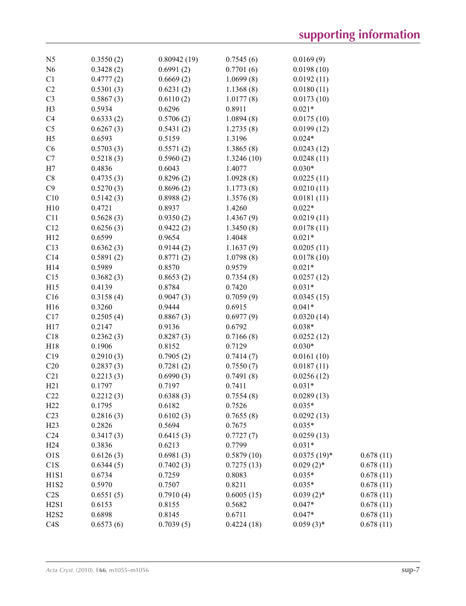| N <sub>5</sub>                | 0.3550(2) | 0.80942(19) | 0.7545(6)  | 0.0169(9)      |           |
|-------------------------------|-----------|-------------|------------|----------------|-----------|
| N <sub>6</sub>                | 0.3428(2) | 0.6991(2)   | 0.7701(6)  | 0.0198(10)     |           |
| C1                            | 0.4777(2) | 0.6669(2)   | 1.0699(8)  | 0.0192(11)     |           |
| C2                            | 0.5301(3) | 0.6231(2)   | 1.1368(8)  | 0.0180(11)     |           |
| C <sub>3</sub>                | 0.5867(3) | 0.6110(2)   | 1.0177(8)  | 0.0173(10)     |           |
| H <sub>3</sub>                | 0.5934    | 0.6296      | 0.8911     | $0.021*$       |           |
| C <sub>4</sub>                | 0.6333(2) | 0.5706(2)   | 1.0894(8)  | 0.0175(10)     |           |
| C <sub>5</sub>                | 0.6267(3) | 0.5431(2)   | 1.2735(8)  | 0.0199(12)     |           |
| H <sub>5</sub>                | 0.6593    | 0.5159      | 1.3196     | $0.024*$       |           |
| C6                            | 0.5703(3) | 0.5571(2)   | 1.3865(8)  | 0.0243(12)     |           |
| C7                            | 0.5218(3) | 0.5960(2)   | 1.3246(10) | 0.0248(11)     |           |
| H7                            | 0.4836    | 0.6043      | 1.4077     | $0.030*$       |           |
| C8                            | 0.4735(3) | 0.8296(2)   | 1.0928(8)  | 0.0225(11)     |           |
| C9                            | 0.5270(3) | 0.8696(2)   | 1.1773(8)  | 0.0210(11)     |           |
| C10                           | 0.5142(3) | 0.8988(2)   | 1.3576(8)  | 0.0181(11)     |           |
| H10                           | 0.4721    | 0.8937      | 1.4260     | $0.022*$       |           |
| C11                           | 0.5628(3) | 0.9350(2)   | 1.4367(9)  | 0.0219(11)     |           |
| C12                           | 0.6256(3) |             |            | 0.0178(11)     |           |
|                               |           | 0.9422(2)   | 1.3450(8)  |                |           |
| H12                           | 0.6599    | 0.9654      | 1.4048     | $0.021*$       |           |
| C13                           | 0.6362(3) | 0.9144(2)   | 1.1637(9)  | 0.0205(11)     |           |
| C14                           | 0.5891(2) | 0.8771(2)   | 1.0798(8)  | 0.0178(10)     |           |
| H14                           | 0.5989    | 0.8570      | 0.9579     | $0.021*$       |           |
| C15                           | 0.3682(3) | 0.8653(2)   | 0.7354(8)  | 0.0257(12)     |           |
| H15                           | 0.4139    | 0.8784      | 0.7420     | $0.031*$       |           |
| C16                           | 0.3158(4) | 0.9047(3)   | 0.7059(9)  | 0.0345(15)     |           |
| H16                           | 0.3260    | 0.9444      | 0.6915     | $0.041*$       |           |
| C17                           | 0.2505(4) | 0.8867(3)   | 0.6977(9)  | 0.0320(14)     |           |
| H17                           | 0.2147    | 0.9136      | 0.6792     | $0.038*$       |           |
| C18                           | 0.2362(3) | 0.8287(3)   | 0.7166(8)  | 0.0252(12)     |           |
| H18                           | 0.1906    | 0.8152      | 0.7129     | $0.030*$       |           |
| C19                           | 0.2910(3) | 0.7905(2)   | 0.7414(7)  | 0.0161(10)     |           |
| C20                           | 0.2837(3) | 0.7281(2)   | 0.7550(7)  | 0.0187(11)     |           |
| C21                           | 0.2213(3) | 0.6990(3)   | 0.7491(8)  | 0.0256(12)     |           |
| H21                           | 0.1797    | 0.7197      | 0.7411     | $0.031*$       |           |
| C22                           | 0.2212(3) | 0.6388(3)   | 0.7554(8)  | 0.0289(13)     |           |
| H22                           | 0.1795    | 0.6182      | 0.7526     | $0.035*$       |           |
| C <sub>23</sub>               | 0.2816(3) | 0.6102(3)   | 0.7655(8)  | 0.0292(13)     |           |
| H23                           | 0.2826    | 0.5694      | 0.7675     | $0.035*$       |           |
| C <sub>24</sub>               | 0.3417(3) | 0.6415(3)   | 0.7727(7)  | 0.0259(13)     |           |
| H <sub>24</sub>               | 0.3836    | 0.6213      | 0.7799     | $0.031*$       |           |
| O1S                           | 0.6126(3) | 0.6981(3)   | 0.5879(10) | $0.0375(19)$ * | 0.678(11) |
| C1S                           | 0.6344(5) | 0.7402(3)   | 0.7275(13) | $0.029(2)$ *   | 0.678(11) |
| H1S1                          | 0.6734    | 0.7259      | 0.8083     | $0.035*$       | 0.678(11) |
| H <sub>1</sub> S <sub>2</sub> | 0.5970    | 0.7507      | 0.8211     | $0.035*$       | 0.678(11) |
| C2S                           | 0.6551(5) | 0.7910(4)   | 0.6005(15) | $0.039(2)$ *   | 0.678(11) |
| H2S1                          | 0.6153    | 0.8155      | 0.5682     | $0.047*$       | 0.678(11) |
| H2S2                          | 0.6898    | 0.8145      | 0.6711     | $0.047*$       | 0.678(11) |
| C <sub>4</sub> S              | 0.6573(6) | 0.7039(5)   | 0.4224(18) | $0.059(3)$ *   | 0.678(11) |
|                               |           |             |            |                |           |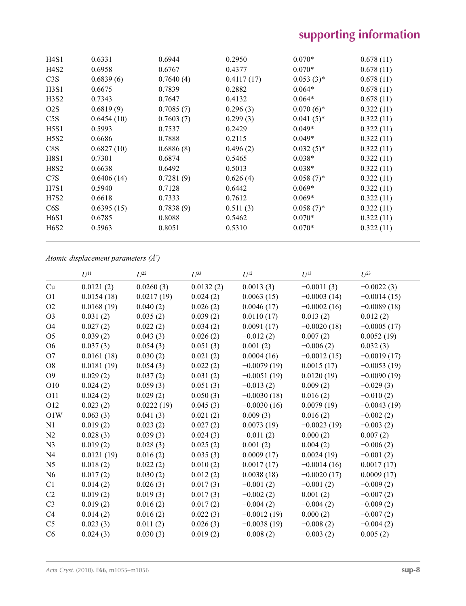| H4S1                          | 0.6331     | 0.6944    | 0.2950     | $0.070*$     | 0.678(11) |
|-------------------------------|------------|-----------|------------|--------------|-----------|
| H4S2                          | 0.6958     | 0.6767    | 0.4377     | $0.070*$     | 0.678(11) |
| C3S                           | 0.6839(6)  | 0.7640(4) | 0.4117(17) | $0.053(3)*$  | 0.678(11) |
| H <sub>3</sub> SI             | 0.6675     | 0.7839    | 0.2882     | $0.064*$     | 0.678(11) |
| H3S2                          | 0.7343     | 0.7647    | 0.4132     | $0.064*$     | 0.678(11) |
| O2S                           | 0.6819(9)  | 0.7085(7) | 0.296(3)   | $0.070(6)$ * | 0.322(11) |
| C5S                           | 0.6454(10) | 0.7603(7) | 0.299(3)   | $0.041(5)$ * | 0.322(11) |
| H <sub>5</sub>                | 0.5993     | 0.7537    | 0.2429     | $0.049*$     | 0.322(11) |
| H <sub>5</sub> S <sub>2</sub> | 0.6686     | 0.7888    | 0.2115     | $0.049*$     | 0.322(11) |
| C8S                           | 0.6827(10) | 0.6886(8) | 0.496(2)   | $0.032(5)$ * | 0.322(11) |
| H8S1                          | 0.7301     | 0.6874    | 0.5465     | $0.038*$     | 0.322(11) |
| H8S2                          | 0.6638     | 0.6492    | 0.5013     | $0.038*$     | 0.322(11) |
| C <sub>7</sub> S              | 0.6406(14) | 0.7281(9) | 0.626(4)   | $0.058(7)$ * | 0.322(11) |
| H7S1                          | 0.5940     | 0.7128    | 0.6442     | $0.069*$     | 0.322(11) |
| H7S2                          | 0.6618     | 0.7333    | 0.7612     | $0.069*$     | 0.322(11) |
| C6S                           | 0.6395(15) | 0.7838(9) | 0.511(3)   | $0.058(7)$ * | 0.322(11) |
| H6S1                          | 0.6785     | 0.8088    | 0.5462     | $0.070*$     | 0.322(11) |
| H <sub>6</sub> S <sub>2</sub> | 0.5963     | 0.8051    | 0.5310     | $0.070*$     | 0.322(11) |
|                               |            |           |            |              |           |

*Atomic displacement parameters (Å2 )*

|                 | $U^{11}$   | $U^{22}$   | $U^{33}$  | $U^{12}$      | $U^{13}$      | $U^{23}$      |
|-----------------|------------|------------|-----------|---------------|---------------|---------------|
| Cu              | 0.0121(2)  | 0.0260(3)  | 0.0132(2) | 0.0013(3)     | $-0.0011(3)$  | $-0.0022(3)$  |
| O <sub>1</sub>  | 0.0154(18) | 0.0217(19) | 0.024(2)  | 0.0063(15)    | $-0.0003(14)$ | $-0.0014(15)$ |
| O2              | 0.0168(19) | 0.040(2)   | 0.026(2)  | 0.0046(17)    | $-0.0002(16)$ | $-0.0089(18)$ |
| O <sub>3</sub>  | 0.031(2)   | 0.035(2)   | 0.039(2)  | 0.0110(17)    | 0.013(2)      | 0.012(2)      |
| <b>O4</b>       | 0.027(2)   | 0.022(2)   | 0.034(2)  | 0.0091(17)    | $-0.0020(18)$ | $-0.0005(17)$ |
| O <sub>5</sub>  | 0.039(2)   | 0.043(3)   | 0.026(2)  | $-0.012(2)$   | 0.007(2)      | 0.0052(19)    |
| O <sub>6</sub>  | 0.037(3)   | 0.054(3)   | 0.051(3)  | 0.001(2)      | $-0.006(2)$   | 0.032(3)      |
| O <sub>7</sub>  | 0.0161(18) | 0.030(2)   | 0.021(2)  | 0.0004(16)    | $-0.0012(15)$ | $-0.0019(17)$ |
| O <sub>8</sub>  | 0.0181(19) | 0.054(3)   | 0.022(2)  | $-0.0079(19)$ | 0.0015(17)    | $-0.0053(19)$ |
| O <sub>9</sub>  | 0.029(2)   | 0.037(2)   | 0.031(2)  | $-0.0051(19)$ | 0.0120(19)    | $-0.0090(19)$ |
| O10             | 0.024(2)   | 0.059(3)   | 0.051(3)  | $-0.013(2)$   | 0.009(2)      | $-0.029(3)$   |
| <b>O11</b>      | 0.024(2)   | 0.029(2)   | 0.050(3)  | $-0.0030(18)$ | 0.016(2)      | $-0.010(2)$   |
| O <sub>12</sub> | 0.023(2)   | 0.0222(19) | 0.045(3)  | $-0.0030(16)$ | 0.0079(19)    | $-0.0043(19)$ |
| O1W             | 0.063(3)   | 0.041(3)   | 0.021(2)  | 0.009(3)      | 0.016(2)      | $-0.002(2)$   |
| N1              | 0.019(2)   | 0.023(2)   | 0.027(2)  | 0.0073(19)    | $-0.0023(19)$ | $-0.003(2)$   |
| N <sub>2</sub>  | 0.028(3)   | 0.039(3)   | 0.024(3)  | $-0.011(2)$   | 0.000(2)      | 0.007(2)      |
| N <sub>3</sub>  | 0.019(2)   | 0.028(3)   | 0.025(2)  | 0.001(2)      | 0.004(2)      | $-0.006(2)$   |
| N <sub>4</sub>  | 0.0121(19) | 0.016(2)   | 0.035(3)  | 0.0009(17)    | 0.0024(19)    | $-0.001(2)$   |
| N <sub>5</sub>  | 0.018(2)   | 0.022(2)   | 0.010(2)  | 0.0017(17)    | $-0.0014(16)$ | 0.0017(17)    |
| N <sub>6</sub>  | 0.017(2)   | 0.030(2)   | 0.012(2)  | 0.0038(18)    | $-0.0020(17)$ | 0.0009(17)    |
| C1              | 0.014(2)   | 0.026(3)   | 0.017(3)  | $-0.001(2)$   | $-0.001(2)$   | $-0.009(2)$   |
| C <sub>2</sub>  | 0.019(2)   | 0.019(3)   | 0.017(3)  | $-0.002(2)$   | 0.001(2)      | $-0.007(2)$   |
| C <sub>3</sub>  | 0.019(2)   | 0.016(2)   | 0.017(2)  | $-0.004(2)$   | $-0.004(2)$   | $-0.009(2)$   |
| C4              | 0.014(2)   | 0.016(2)   | 0.022(3)  | $-0.0012(19)$ | 0.000(2)      | $-0.007(2)$   |
| C <sub>5</sub>  | 0.023(3)   | 0.011(2)   | 0.026(3)  | $-0.0038(19)$ | $-0.008(2)$   | $-0.004(2)$   |
| C6              | 0.024(3)   | 0.030(3)   | 0.019(2)  | $-0.008(2)$   | $-0.003(2)$   | 0.005(2)      |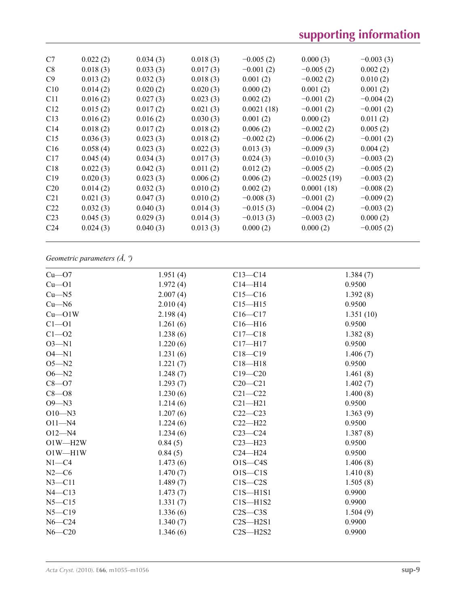# **supporting information**

| C7              | 0.022(2) | 0.034(3) | 0.018(3) | $-0.005(2)$ | 0.000(3)      | $-0.003(3)$ |
|-----------------|----------|----------|----------|-------------|---------------|-------------|
| C8              | 0.018(3) | 0.033(3) | 0.017(3) | $-0.001(2)$ | $-0.005(2)$   | 0.002(2)    |
| C <sub>9</sub>  | 0.013(2) | 0.032(3) | 0.018(3) | 0.001(2)    | $-0.002(2)$   | 0.010(2)    |
| C10             | 0.014(2) | 0.020(2) | 0.020(3) | 0.000(2)    | 0.001(2)      | 0.001(2)    |
| C11             | 0.016(2) | 0.027(3) | 0.023(3) | 0.002(2)    | $-0.001(2)$   | $-0.004(2)$ |
| C12             | 0.015(2) | 0.017(2) | 0.021(3) | 0.0021(18)  | $-0.001(2)$   | $-0.001(2)$ |
| C13             | 0.016(2) | 0.016(2) | 0.030(3) | 0.001(2)    | 0.000(2)      | 0.011(2)    |
| C <sub>14</sub> | 0.018(2) | 0.017(2) | 0.018(2) | 0.006(2)    | $-0.002(2)$   | 0.005(2)    |
| C15             | 0.036(3) | 0.023(3) | 0.018(2) | $-0.002(2)$ | $-0.006(2)$   | $-0.001(2)$ |
| C16             | 0.058(4) | 0.023(3) | 0.022(3) | 0.013(3)    | $-0.009(3)$   | 0.004(2)    |
| C17             | 0.045(4) | 0.034(3) | 0.017(3) | 0.024(3)    | $-0.010(3)$   | $-0.003(2)$ |
| C18             | 0.022(3) | 0.042(3) | 0.011(2) | 0.012(2)    | $-0.005(2)$   | $-0.005(2)$ |
| C19             | 0.020(3) | 0.023(3) | 0.006(2) | 0.006(2)    | $-0.0025(19)$ | $-0.003(2)$ |
| C <sub>20</sub> | 0.014(2) | 0.032(3) | 0.010(2) | 0.002(2)    | 0.0001(18)    | $-0.008(2)$ |
| C <sub>21</sub> | 0.021(3) | 0.047(3) | 0.010(2) | $-0.008(3)$ | $-0.001(2)$   | $-0.009(2)$ |
| C <sub>22</sub> | 0.032(3) | 0.040(3) | 0.014(3) | $-0.015(3)$ | $-0.004(2)$   | $-0.003(2)$ |
| C <sub>23</sub> | 0.045(3) | 0.029(3) | 0.014(3) | $-0.013(3)$ | $-0.003(2)$   | 0.000(2)    |
| C <sub>24</sub> | 0.024(3) | 0.040(3) | 0.013(3) | 0.000(2)    | 0.000(2)      | $-0.005(2)$ |
|                 |          |          |          |             |               |             |

### *Geometric parameters (Å, º)*

| $Cu$ — $O7$  | 1.951(4) | $C13 - C14$  | 1.384(7)  |
|--------------|----------|--------------|-----------|
| $Cu$ -O1     | 1.972(4) | $C14 - H14$  | 0.9500    |
| Cu—N5        | 2.007(4) | $C15 - C16$  | 1.392(8)  |
| $Cu - N6$    | 2.010(4) | $C15 - H15$  | 0.9500    |
| $Cu$ — $O1W$ | 2.198(4) | $C16 - C17$  | 1.351(10) |
| $Cl - O1$    | 1.261(6) | $C16 - H16$  | 0.9500    |
| $C1 - 02$    | 1.238(6) | $C17 - C18$  | 1.382(8)  |
| $O3 - N1$    | 1.220(6) | $C17 - H17$  | 0.9500    |
| $O4 - N1$    | 1.231(6) | $C18 - C19$  | 1.406(7)  |
| $O5 - N2$    | 1.221(7) | $C18 - H18$  | 0.9500    |
| $O6 - N2$    | 1.248(7) | $C19 - C20$  | 1.461(8)  |
| $C8 - O7$    | 1.293(7) | $C20-C21$    | 1.402(7)  |
| $C8 - O8$    | 1.230(6) | $C21 - C22$  | 1.400(8)  |
| $O9 - N3$    | 1.214(6) | $C21 - H21$  | 0.9500    |
| $O10 - N3$   | 1.207(6) | $C22-C23$    | 1.363(9)  |
| $O11 - N4$   | 1.224(6) | $C22 - H22$  | 0.9500    |
| $O12 - N4$   | 1.234(6) | $C23-C24$    | 1.387(8)  |
| $O1W - H2W$  | 0.84(5)  | $C23 - H23$  | 0.9500    |
| $O1W - H1W$  | 0.84(5)  | $C24 - H24$  | 0.9500    |
| $N1 - C4$    | 1.473(6) | $O1S - C4S$  | 1.406(8)  |
| $N2-C6$      | 1.470(7) | $O1S - C1S$  | 1.410(8)  |
| $N3 - C11$   | 1.489(7) | $C1S - C2S$  | 1.505(8)  |
| $N4 - C13$   | 1.473(7) | $C1S - H1S1$ | 0.9900    |
| $N5 - C15$   | 1.331(7) | $C1S - H1S2$ | 0.9900    |
| $N5 - C19$   | 1.336(6) | $C2S - C3S$  | 1.504(9)  |
| $N6 - C24$   | 1.340(7) | $C2S - H2S1$ | 0.9900    |
| $N6 - C20$   | 1.346(6) | $C2S - H2S2$ | 0.9900    |
|              |          |              |           |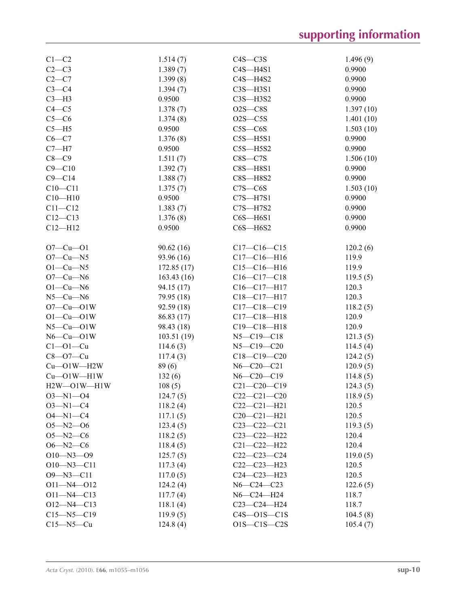| $C1-C2$              | 1.514(7)   | $C4S - C3S$       | 1.496(9)  |
|----------------------|------------|-------------------|-----------|
| $C2-C3$              | 1.389(7)   | $C4S - H4S1$      | 0.9900    |
| $C2-C7$              | 1.399(8)   | $C4S - H4S2$      | 0.9900    |
| $C3-C4$              | 1.394(7)   | $C3S - H3S1$      | 0.9900    |
| $C3-H3$              | 0.9500     | $C3S - H3S2$      | 0.9900    |
| $C4 - C5$            | 1.378(7)   | $O2S - CS$        | 1.397(10) |
| $C5-C6$              | 1.374(8)   | $O2S - C5S$       | 1.401(10) |
| $C5 - H5$            | 0.9500     | $CSS-C6S$         | 1.503(10) |
| $C6-C7$              | 1.376(8)   | $C5S - H5S1$      | 0.9900    |
| $C7 - H7$            | 0.9500     | $C5S - H5S2$      | 0.9900    |
| $C8-C9$              | 1.511(7)   | $CSS - C7S$       | 1.506(10) |
| $C9 - C10$           | 1.392(7)   | $CSS-HSS1$        | 0.9900    |
| $C9 - C14$           | 1.388(7)   | $CSS - H8S2$      | 0.9900    |
| $C10 - C11$          | 1.375(7)   | $C7S - C6S$       | 1.503(10) |
| $C10 - H10$          | 0.9500     | $C7S - H7S1$      | 0.9900    |
| $C11 - C12$          | 1.383(7)   | $C7S - H7S2$      | 0.9900    |
| $C12 - C13$          | 1.376(8)   | $C6S - H6S1$      | 0.9900    |
| $C12 - H12$          | 0.9500     | $C6S - H6S2$      | 0.9900    |
|                      |            |                   |           |
| $O7 - Cu - O1$       | 90.62(16)  | $C17-C16-C15$     | 120.2(6)  |
| $O7-Cu-N5$           | 93.96 (16) | $C17 - C16 - H16$ | 119.9     |
| $O1-Cu-N5$           | 172.85(17) | $C15-C16-H16$     | 119.9     |
| $O7$ — $Cu$ — $N6$   | 163.43(16) | $C16 - C17 - C18$ | 119.5(5)  |
| $O1-Cu-N6$           | 94.15 (17) | $C16 - C17 - H17$ | 120.3     |
| $N5$ — $Cu$ — $N6$   | 79.95 (18) | C18-C17-H17       | 120.3     |
| $O7-Cu$ -O1W         | 92.59(18)  | $C17 - C18 - C19$ | 118.2(5)  |
| $O1-Cu$ - $O1W$      | 86.83 (17) | $C17 - C18 - H18$ | 120.9     |
| $N5$ — $Cu$ — $O1W$  | 98.43 (18) | $C19 - C18 - H18$ | 120.9     |
| $N6$ — $Cu$ — $O1W$  | 103.51(19) | $N5 - C19 - C18$  | 121.3(5)  |
| $C1 - 01 - Cu$       | 114.6(3)   | $N5 - C19 - C20$  | 114.5(4)  |
| $C8 - O7 - Cu$       | 117.4(3)   | $C18 - C19 - C20$ | 124.2(5)  |
| $Cu$ — $O1W$ — $H2W$ | 89(6)      | $N6 - C20 - C21$  | 120.9(5)  |
| $Cu$ — $O1W$ — $H1W$ | 132(6)     | $N6 - C20 - C19$  | 114.8(5)  |
| $H2W - O1W - H1W$    | 108(5)     | $C21 - C20 - C19$ | 124.3(5)  |
| 03—N1—04             | 124.7(5)   | $C22-C21-C20$     | 118.9(5)  |
| $O3 - N1 - C4$       | 118.2(4)   | $C22-C21-H21$     | 120.5     |
| $O4 - N1 - C4$       | 117.1(5)   | $C20 - C21 - H21$ | 120.5     |
| $O5 - N2 - O6$       | 123.4(5)   | $C23-C22-C21$     | 119.3(5)  |
| $O5 - N2 - C6$       | 118.2(5)   | C23-C22-H22       | 120.4     |
| $O6 - N2 - C6$       | 118.4(5)   | $C21 - C22 - H22$ | 120.4     |
| $O10 - N3 - O9$      | 125.7(5)   | $C22-C23-C24$     | 119.0(5)  |
| $O10 - N3 - C11$     | 117.3(4)   | $C22-C23-H23$     | 120.5     |
| $O9 - N3 - C11$      | 117.0(5)   | $C24 - C23 - H23$ | 120.5     |
| $O11 - N4 - O12$     | 124.2(4)   | $N6 - C24 - C23$  | 122.6(5)  |
| $O11 - N4 - C13$     | 117.7(4)   | $N6 - C24 - H24$  | 118.7     |
| $O12 - N4 - C13$     | 118.1(4)   | $C23-C24-H24$     | 118.7     |
| $C15 - N5 - C19$     | 119.9(5)   | $C4S - 01S - C1S$ | 104.5(8)  |
| $C15 - N5 - Cu$      | 124.8(4)   | $O1S-C1S-C2S$     | 105.4(7)  |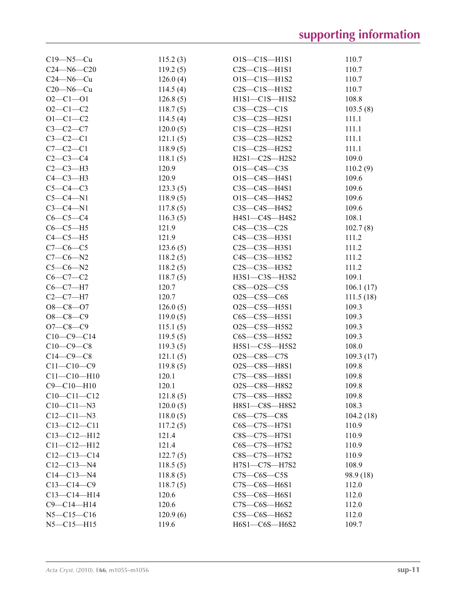| $C19 - N5 - Cu$   | 115.2(3) | O1S-C1S-H1S1          | 110.7     |
|-------------------|----------|-----------------------|-----------|
| $C24 - N6 - C20$  | 119.2(5) | $C2S - C1S - H1S1$    | 110.7     |
| $C24 - N6 - Cu$   | 126.0(4) | $O1S - C1S - H1S2$    | 110.7     |
| $C20 - N6 - Cu$   | 114.5(4) | $C2S - C1S - H1S2$    | 110.7     |
| $O2 - C1 - O1$    | 126.8(5) | $H1S1-C1S-H1S2$       | 108.8     |
| $O2 - C1 - C2$    | 118.7(5) | $C3S - C2S - C1S$     | 103.5(8)  |
| $O1 - C1 - C2$    | 114.5(4) | $C3S - C2S - H2S1$    | 111.1     |
| $C3-C2-C7$        | 120.0(5) | $C1S-C2S-H2S1$        | 111.1     |
| $C3-C2-C1$        | 121.1(5) | $C3S - C2S - H2S2$    | 111.1     |
| $C7-C2-C1$        | 118.9(5) | $C1S-C2S-H2S2$        | 111.1     |
| $C2-C3-C4$        | 118.1(5) | H2S1-C2S-H2S2         | 109.0     |
| $C2-C3-H3$        | 120.9    | $O1S - C4S - C3S$     | 110.2(9)  |
| $C4-C3-H3$        | 120.9    | O1S-C4S-H4S1          | 109.6     |
| $C5-C4-C3$        | 123.3(5) | $C3S - C4S - H4S1$    | 109.6     |
| $C5-C4-N1$        | 118.9(5) | $O1S-C4S-H4S2$        | 109.6     |
| $C3-C4-N1$        | 117.8(5) | $C3S-C4S-H4S2$        | 109.6     |
| $C6-C5-C4$        | 116.3(5) | H4S1—C4S—H4S2         | 108.1     |
| $C6-C5-H5$        | 121.9    | $C4S - C3S - C2S$     | 102.7(8)  |
| $C4-C5-H5$        | 121.9    | $C4S - C3S - H3S1$    | 111.2     |
| $C7-C6-C5$        | 123.6(5) | $C2S - C3S - H3S1$    | 111.2     |
| $C7-C6-N2$        | 118.2(5) | C4S—C3S—H3S2          | 111.2     |
| $C5 - C6 - N2$    | 118.2(5) | $C2S - C3S - H3S2$    | 111.2     |
| $C6 - C7 - C2$    | 118.7(5) | H3S1-C3S-H3S2         | 109.1     |
| $C6 - C7 - H7$    | 120.7    | $CSS$ -02S- $CSS$     | 106.1(17) |
| $C2-C7-H7$        | 120.7    | $O2S - C5S - C6S$     | 111.5(18) |
| $O8 - C8 - O7$    | 126.0(5) | O2S-C5S-H5S1          | 109.3     |
| $O8 - C8 - C9$    | 119.0(5) | $CS$ -C5S-H5S1        | 109.3     |
| $O7 - C8 - C9$    | 115.1(5) | $O2S - C5S - H5S2$    | 109.3     |
| $C10-C9-C14$      | 119.5(5) | $CS$ -C5S-H5S2        | 109.3     |
| $C10-C9-C8$       | 119.3(5) | $H5S1-C5S-H5S2$       | 108.0     |
| $C14-C9-C8$       | 121.1(5) | $O2S - C8S - C7S$     | 109.3(17) |
| $C11 - C10 - C9$  | 119.8(5) | O2S-C8S-H8S1          | 109.8     |
| $C11 - C10 - H10$ | 120.1    | C7S-C8S-H8S1          | 109.8     |
| $C9 - C10 - H10$  | 120.1    | O2S-C8S-H8S2          | 109.8     |
| $C10-C11-C12$     | 121.8(5) | C7S-C8S-H8S2          | 109.8     |
| $C10-C11-N3$      | 120.0(5) | H8S1-C8S-H8S2         | 108.3     |
| $C12 - C11 - N3$  | 118.0(5) | $CS$ - $C7S$ - $CS$ S | 104.2(18) |
| $C13 - C12 - C11$ | 117.2(5) | C6S-C7S-H7S1          | 110.9     |
| $C13 - C12 - H12$ | 121.4    | $CSS - C7S - H7S1$    | 110.9     |
| $C11 - C12 - H12$ | 121.4    | C6S-C7S-H7S2          | 110.9     |
| $C12-C13-C14$     | 122.7(5) | $CSS$ — $C7S$ —H7S2   | 110.9     |
| $C12-C13-N4$      | 118.5(5) | H7S1-C7S-H7S2         | 108.9     |
| $C14 - C13 - N4$  | 118.8(5) | $C7S-C6S-C5S$         | 98.9 (18) |
| $C13 - C14 - C9$  | 118.7(5) | $C7S-C6S-H6S1$        | 112.0     |
| $C13-C14-H14$     | 120.6    | $C5S-C6S-H6S1$        | 112.0     |
| $C9 - C14 - H14$  | 120.6    | $C7S-C6S-H6S2$        | 112.0     |
| $N5 - C15 - C16$  | 120.9(6) | $CSS-C6S-H6S2$        | 112.0     |
| $N5 - C15 - H15$  | 119.6    | H6S1-C6S-H6S2         | 109.7     |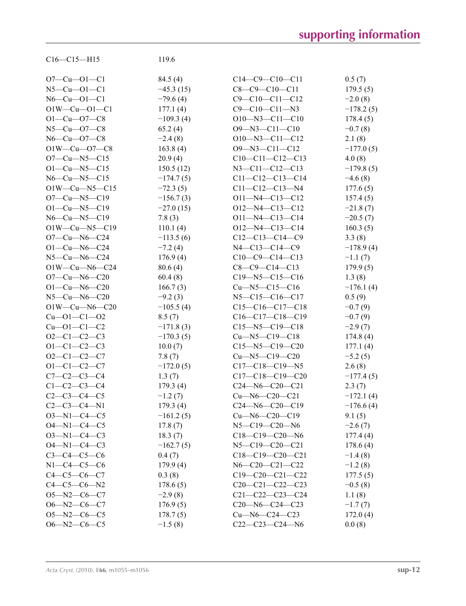| $C16 - C15 - H15$          | 119.6                    |                             |             |
|----------------------------|--------------------------|-----------------------------|-------------|
| $O7-Cu-O1-C1$              | 84.5 (4)                 | $C14-C9-C10-C11$            | 0.5(7)      |
| $N5-Cu-O1-C1$              | $-45.3(15)$              | $C8-C9-C10-C11$             | 179.5(5)    |
| $N6-Cu-O1-C1$              | $-79.6(4)$               | $C9 - C10 - C11 - C12$      | $-2.0(8)$   |
| $O1W-Cu-O1-C1$             | 177.1(4)                 | $C9 - C10 - C11 - N3$       | $-178.2(5)$ |
| $O1-Cu$ - $O7-C8$          | $-109.3(4)$              | $O10 - N3 - C11 - C10$      | 178.4(5)    |
| $N5-Cu$ - $O7-C8$          | 65.2(4)                  | $O9 - N3 - C11 - C10$       | $-0.7(8)$   |
| $N6-Cu$ - $O7-C8$          | $-2.4(8)$                | $O10 - N3 - C11 - C12$      | 2.1(8)      |
| $O1W-Cu$ - $O7-C8$         | 163.8(4)                 | $O9 - N3 - C11 - C12$       | $-177.0(5)$ |
| $O7-Cu$ — $N5-C15$         | 20.9(4)                  | $C10-C11-C12-C13$           | 4.0(8)      |
| $O1-Cu$ — $N5$ — $C15$     | 150.5(12)                | $N3 - C11 - C12 - C13$      | $-179.8(5)$ |
| $N6$ — $Cu$ — $N5$ — $C15$ | $-174.7(5)$              | $C11-C12-C13-C14$           | $-4.6(8)$   |
| $O1W-Cu-N5-C15$            | $-72.3(5)$               | $C11-C12-C13-N4$            | 177.6(5)    |
| $O7-Cu$ — $N5-C19$         | $-156.7(3)$              | $O11 - N4 - C13 - C12$      | 157.4(5)    |
| $O1-Cu-N5-C19$             | $-27.0(15)$              | $O12 - N4 - C13 - C12$      | $-21.8(7)$  |
| $N6$ —Cu—N5—C19            | 7.8(3)                   | $O11 - N4 - C13 - C14$      | $-20.5(7)$  |
| $O1W-Cu-N5-C19$            | 110.1(4)                 | $O12 - N4 - C13 - C14$      | 160.3(5)    |
| $O7-Cu-N6-C24$             | $-113.5(6)$              | $C12-C13-C14-C9$            | 3.3(8)      |
| $O1-Cu-N6-C24$             | $-7.2(4)$                | $N4 - C13 - C14 - C9$       | $-178.9(4)$ |
| $N5-Cu-N6-C24$             | 176.9(4)                 | $C10-C9-C14-C13$            | $-1.1(7)$   |
| $O1W-Cu-N6-C24$            | 80.6(4)                  | $C8-C9-C14-C13$             | 179.9(5)    |
| $O7-Cu-N6-C20$             | 60.4(8)                  | $C19 - N5 - C15 - C16$      | 1.3(8)      |
| $O1-Cu-N6-C20$             | 166.7(3)                 | $Cu$ —N5—C15—C16            | $-176.1(4)$ |
| $N5-Cu-N6-C20$             |                          | $N5 - C15 - C16 - C17$      |             |
| $O1W-Cu-N6-C20$            | $-9.2(3)$<br>$-105.5(4)$ | $C15-C16-C17-C18$           | 0.5(9)      |
| $Cu$ — $O1$ — $C1$ — $O2$  |                          |                             | $-0.7(9)$   |
| $Cu$ -01- $C1$ - $C2$      | 8.5(7)                   | $C16-C17-C18-C19$           | $-0.7(9)$   |
|                            | $-171.8(3)$              | $C15 - N5 - C19 - C18$      | $-2.9(7)$   |
| $O2-C1-C2-C3$              | $-170.3(5)$              | $Cu$ —N5—C19—C18            | 174.8(4)    |
| $O1 - C1 - C2 - C3$        | 10.0(7)                  | $C15 - N5 - C19 - C20$      | 177.1(4)    |
| $O2-C1-C2-C7$              | 7.8(7)                   | $Cu$ —N5—C19—C20            | $-5.2(5)$   |
| $O1 - C1 - C2 - C7$        | $-172.0(5)$              | $C17-C18-C19-N5$            | 2.6(8)      |
| $C7 - C2 - C3 - C4$        | 1.3(7)                   | $C17-C18-C19-C20$           | $-177.4(5)$ |
| $C1 - C2 - C3 - C4$        | 179.3(4)                 | $C24 - N6 - C20 - C21$      | 2.3(7)      |
| $C2-C3-C4-C5$              | $-1.2(7)$                | $Cu$ —N6—C20—C21            | $-172.1(4)$ |
| $C2-C3-C4-N1$              | 179.3(4)                 | $C24 - N6 - C20 - C19$      | $-176.6(4)$ |
| $O3 - N1 - C4 - C5$        | $-161.2(5)$              | $Cu$ — $N6$ — $C20$ — $C19$ | 9.1(5)      |
| $O4 - N1 - C4 - C5$        | 17.8(7)                  | $N5 - C19 - C20 - N6$       | $-2.6(7)$   |
| $O3 - N1 - C4 - C3$        | 18.3(7)                  | $C18-C19-C20-N6$            | 177.4(4)    |
| $O4 - N1 - C4 - C3$        | $-162.7(5)$              | $N5 - C19 - C20 - C21$      | 178.6(4)    |
| $C3 - C4 - C5 - C6$        | 0.4(7)                   | $C18-C19-C20-C21$           | $-1.4(8)$   |
| $N1 - C4 - C5 - C6$        | 179.9(4)                 | N6-C20-C21-C22              | $-1.2(8)$   |
| $C4 - C5 - C6 - C7$        | 0.3(8)                   | $C19-C20-C21-C22$           | 177.5(5)    |
| $C4 - C5 - C6 - N2$        | 178.6(5)                 | $C20-C21-C22-C23$           | $-0.5(8)$   |
| $O5 - N2 - C6 - C7$        | $-2.9(8)$                | $C21 - C22 - C23 - C24$     | 1.1(8)      |
| $O6 - N2 - C6 - C7$        | 176.9(5)                 | $C20 - N6 - C24 - C23$      | $-1.7(7)$   |
| $O5 - N2 - C6 - C5$        | 178.7(5)                 | $Cu$ — $N6$ — $C24$ — $C23$ | 172.0(4)    |
| $O6 - N2 - C6 - C5$        | $-1.5(8)$                | $C22-C23-C24-N6$            | 0.0(8)      |